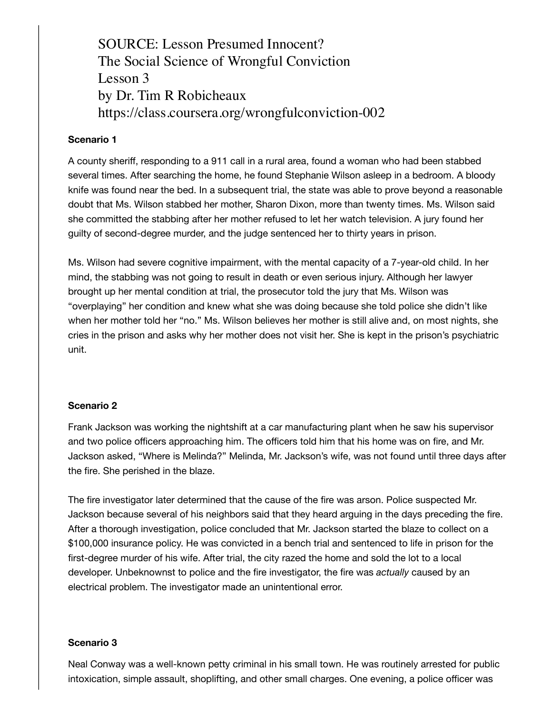**Hypothetical Scenarios**  $\text{TL} \times \text{C}$  , but  $\text{CL} \times \text{CL}$   $\text{CL} \times \text{CL}$   $\text{CL} \times \text{CL}$  of what is what is what is what is what is what is what is what is what is what is what is what is what is what is what is what is what is what is what is The Social Science of Wrongful Conviction  $\mathcal{L}$ esson based on actual cases. Which, if any, do you feel on actual cases. When  $\mathcal{L}$ by Dr. Tim R Robicheaux SOURCE: Lesson Presumed Innocent? Lesson 3 https://class.coursera.org/wrongfulconviction-002

## **Scenario 1**

A county sheriff, responding to a 911 call in a rural area, found a woman who had been stabbed several times. After searching the home, he found Stephanie Wilson asleep in a bedroom. A bloody knife was found near the bed. In a subsequent trial, the state was able to prove beyond a reasonable doubt that Ms. Wilson stabbed her mother, Sharon Dixon, more than twenty times. Ms. Wilson said she committed the stabbing after her mother refused to let her watch television. A jury found her guilty of second-degree murder, and the judge sentenced her to thirty years in prison.

Ms. Wilson had severe cognitive impairment, with the mental capacity of a 7-year-old child. In her mind, the stabbing was not going to result in death or even serious injury. Although her lawyer brought up her mental condition at trial, the prosecutor told the jury that Ms. Wilson was "overplaying" her condition and knew what she was doing because she told police she didn't like when her mother told her "no." Ms. Wilson believes her mother is still alive and, on most nights, she cries in the prison and asks why her mother does not visit her. She is kept in the prison's psychiatric unit.

## **Scenario 2**

Frank Jackson was working the nightshift at a car manufacturing plant when he saw his supervisor and two police officers approaching him. The officers told him that his home was on fire, and Mr. Jackson asked, "Where is Melinda?" Melinda, Mr. Jackson's wife, was not found until three days after the fire. She perished in the blaze.

The fire investigator later determined that the cause of the fire was arson. Police suspected Mr. Jackson because several of his neighbors said that they heard arguing in the days preceding the fire. After a thorough investigation, police concluded that Mr. Jackson started the blaze to collect on a \$100,000 insurance policy. He was convicted in a bench trial and sentenced to life in prison for the first-degree murder of his wife. After trial, the city razed the home and sold the lot to a local developer. Unbeknownst to police and the fire investigator, the fire was *actually* caused by an electrical problem. The investigator made an unintentional error.

## **Scenario 3**

Neal Conway was a well-known petty criminal in his small town. He was routinely arrested for public intoxication, simple assault, shoplifting, and other small charges. One evening, a police officer was